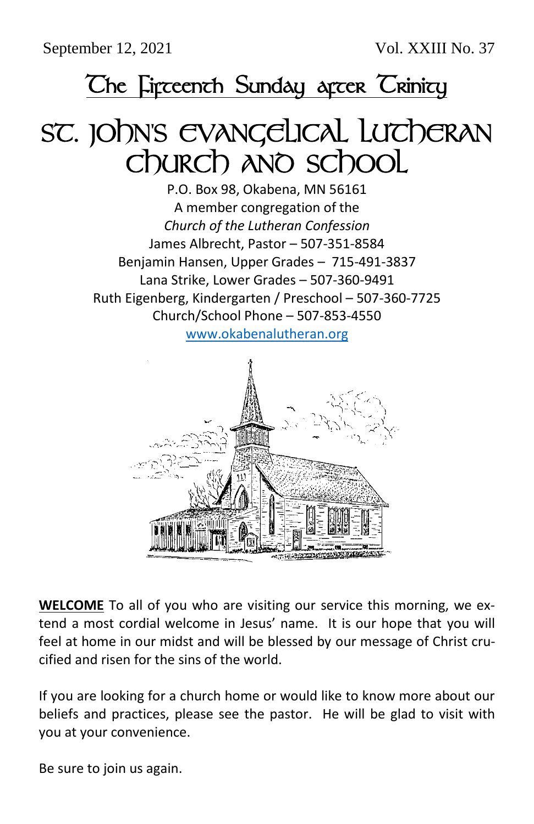September 12, 2021 Vol. XXIII No. 37



# SC. JOHN'S EVANGELICAL LUTHERAN Church and school

P.O. Box 98, Okabena, MN 56161 A member congregation of the *Church of the Lutheran Confession* James Albrecht, Pastor – 507-351-8584 Benjamin Hansen, Upper Grades – 715-491-3837 Lana Strike, Lower Grades – 507-360-9491 Ruth Eigenberg, Kindergarten / Preschool – 507-360-7725 Church/School Phone – 507-853-4550





**WELCOME** To all of you who are visiting our service this morning, we extend a most cordial welcome in Jesus' name. It is our hope that you will feel at home in our midst and will be blessed by our message of Christ crucified and risen for the sins of the world.

If you are looking for a church home or would like to know more about our beliefs and practices, please see the pastor. He will be glad to visit with you at your convenience.

Be sure to join us again.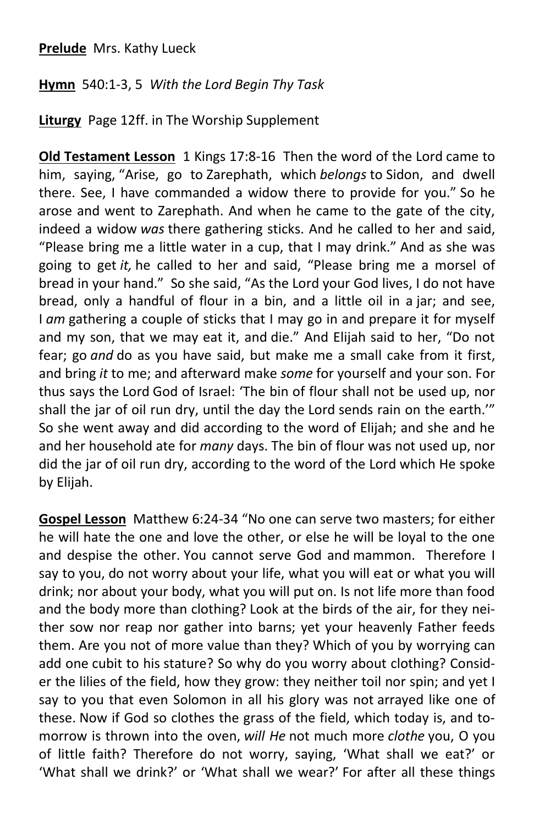**Prelude** Mrs. Kathy Lueck

#### **Hymn** 540:1-3, 5 *With the Lord Begin Thy Task*

**Liturgy** Page 12ff. in The Worship Supplement

**Old Testament Lesson** 1 Kings 17:8-16 Then the word of the Lord came to him, saying, "Arise, go to Zarephath, which *belongs* to Sidon, and dwell there. See, I have commanded a widow there to provide for you." So he arose and went to Zarephath. And when he came to the gate of the city, indeed a widow *was* there gathering sticks. And he called to her and said, "Please bring me a little water in a cup, that I may drink." And as she was going to get *it,* he called to her and said, "Please bring me a morsel of bread in your hand." So she said, "As the Lord your God lives, I do not have bread, only a handful of flour in a bin, and a little oil in a jar; and see, I *am* gathering a couple of sticks that I may go in and prepare it for myself and my son, that we may eat it, and die." And Elijah said to her, "Do not fear; go *and* do as you have said, but make me a small cake from it first, and bring *it* to me; and afterward make *some* for yourself and your son. For thus says the Lord God of Israel: 'The bin of flour shall not be used up, nor shall the jar of oil run dry, until the day the Lord sends rain on the earth.'" So she went away and did according to the word of Elijah; and she and he and her household ate for *many* days. The bin of flour was not used up, nor did the jar of oil run dry, according to the word of the Lord which He spoke by Elijah.

**Gospel Lesson** Matthew 6:24-34 "No one can serve two masters; for either he will hate the one and love the other, or else he will be loyal to the one and despise the other. You cannot serve God and mammon. Therefore I say to you, do not worry about your life, what you will eat or what you will drink; nor about your body, what you will put on. Is not life more than food and the body more than clothing? Look at the birds of the air, for they neither sow nor reap nor gather into barns; yet your heavenly Father feeds them. Are you not of more value than they? Which of you by worrying can add one cubit to his stature? So why do you worry about clothing? Consider the lilies of the field, how they grow: they neither toil nor spin; and yet I say to you that even Solomon in all his glory was not arrayed like one of these. Now if God so clothes the grass of the field, which today is, and tomorrow is thrown into the oven, *will He* not much more *clothe* you, O you of little faith? Therefore do not worry, saying, 'What shall we eat?' or 'What shall we drink?' or 'What shall we wear?' For after all these things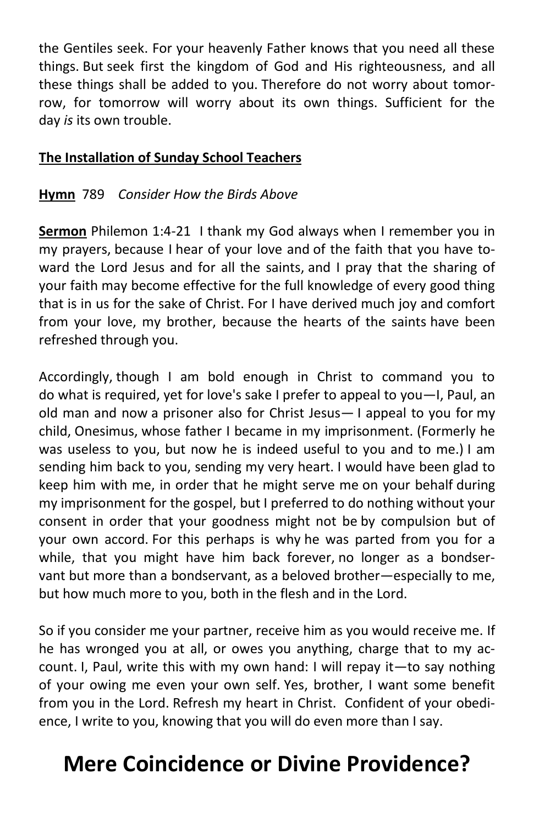the Gentiles seek. For your heavenly Father knows that you need all these things. But seek first the kingdom of God and His righteousness, and all these things shall be added to you. Therefore do not worry about tomorrow, for tomorrow will worry about its own things. Sufficient for the day *is* its own trouble.

#### **The Installation of Sunday School Teachers**

#### **Hymn** 789 *Consider How the Birds Above*

**Sermon** Philemon 1:4-21 I thank my God always when I remember you in my prayers, because I hear of your love and of the faith that you have toward the Lord Jesus and for all the saints, and I pray that the sharing of your faith may become effective for the full knowledge of every good thing that is in us for the sake of Christ. For I have derived much joy and comfort from your love, my brother, because the hearts of the saints have been refreshed through you.

Accordingly, though I am bold enough in Christ to command you to do what is required, yet for love's sake I prefer to appeal to you—I, Paul, an old man and now a prisoner also for Christ Jesus— I appeal to you for my child, Onesimus, whose father I became in my imprisonment. (Formerly he was useless to you, but now he is indeed useful to you and to me.) I am sending him back to you, sending my very heart. I would have been glad to keep him with me, in order that he might serve me on your behalf during my imprisonment for the gospel, but I preferred to do nothing without your consent in order that your goodness might not be by compulsion but of your own accord. For this perhaps is why he was parted from you for a while, that you might have him back forever, no longer as a bondservant but more than a bondservant, as a beloved brother—especially to me, but how much more to you, both in the flesh and in the Lord.

So if you consider me your partner, receive him as you would receive me. If he has wronged you at all, or owes you anything, charge that to my account. I, Paul, write this with my own hand: I will repay it—to say nothing of your owing me even your own self. Yes, brother, I want some benefit from you in the Lord. Refresh my heart in Christ. Confident of your obedience, I write to you, knowing that you will do even more than I say.

## **Mere Coincidence or Divine Providence?**